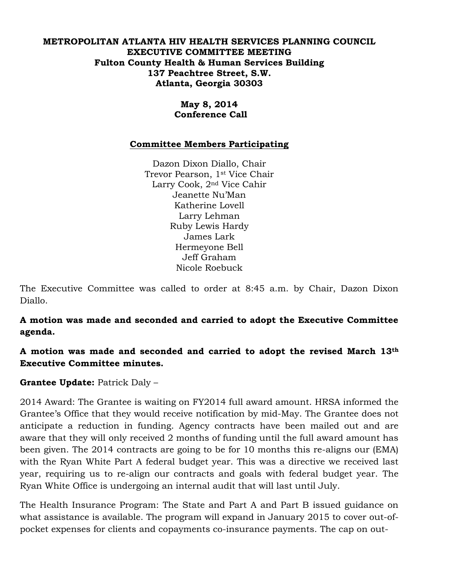#### **METROPOLITAN ATLANTA HIV HEALTH SERVICES PLANNING COUNCIL EXECUTIVE COMMITTEE MEETING Fulton County Health & Human Services Building 137 Peachtree Street, S.W. Atlanta, Georgia 30303**

## **May 8, 2014 Conference Call**

## **Committee Members Participating**

Dazon Dixon Diallo, Chair Trevor Pearson, 1st Vice Chair Larry Cook, 2nd Vice Cahir Jeanette Nu'Man Katherine Lovell Larry Lehman Ruby Lewis Hardy James Lark Hermeyone Bell Jeff Graham Nicole Roebuck

The Executive Committee was called to order at 8:45 a.m. by Chair, Dazon Dixon Diallo.

**A motion was made and seconded and carried to adopt the Executive Committee agenda.** 

**A motion was made and seconded and carried to adopt the revised March 13th Executive Committee minutes.** 

# **Grantee Update:** Patrick Daly –

2014 Award: The Grantee is waiting on FY2014 full award amount. HRSA informed the Grantee's Office that they would receive notification by mid-May. The Grantee does not anticipate a reduction in funding. Agency contracts have been mailed out and are aware that they will only received 2 months of funding until the full award amount has been given. The 2014 contracts are going to be for 10 months this re-aligns our (EMA) with the Ryan White Part A federal budget year. This was a directive we received last year, requiring us to re-align our contracts and goals with federal budget year. The Ryan White Office is undergoing an internal audit that will last until July.

The Health Insurance Program: The State and Part A and Part B issued guidance on what assistance is available. The program will expand in January 2015 to cover out-ofpocket expenses for clients and copayments co-insurance payments. The cap on out-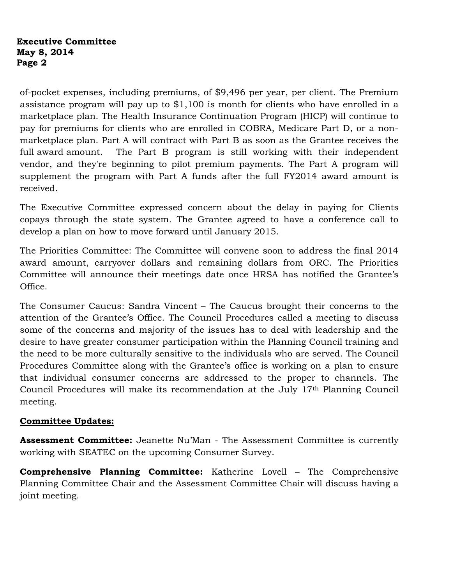#### **Executive Committee May 8, 2014 Page 2**

of-pocket expenses, including premiums, of \$9,496 per year, per client. The Premium assistance program will pay up to \$1,100 is month for clients who have enrolled in a marketplace plan. The Health Insurance Continuation Program (HICP) will continue to pay for premiums for clients who are enrolled in COBRA, Medicare Part D, or a nonmarketplace plan. Part A will contract with Part B as soon as the Grantee receives the full award amount. The Part B program is still working with their independent vendor, and they're beginning to pilot premium payments. The Part A program will supplement the program with Part A funds after the full FY2014 award amount is received.

The Executive Committee expressed concern about the delay in paying for Clients copays through the state system. The Grantee agreed to have a conference call to develop a plan on how to move forward until January 2015.

The Priorities Committee: The Committee will convene soon to address the final 2014 award amount, carryover dollars and remaining dollars from ORC. The Priorities Committee will announce their meetings date once HRSA has notified the Grantee's Office.

The Consumer Caucus: Sandra Vincent – The Caucus brought their concerns to the attention of the Grantee's Office. The Council Procedures called a meeting to discuss some of the concerns and majority of the issues has to deal with leadership and the desire to have greater consumer participation within the Planning Council training and the need to be more culturally sensitive to the individuals who are served. The Council Procedures Committee along with the Grantee's office is working on a plan to ensure that individual consumer concerns are addressed to the proper to channels. The Council Procedures will make its recommendation at the July 17th Planning Council meeting.

# **Committee Updates:**

**Assessment Committee:** Jeanette Nu'Man - The Assessment Committee is currently working with SEATEC on the upcoming Consumer Survey.

**Comprehensive Planning Committee:** Katherine Lovell – The Comprehensive Planning Committee Chair and the Assessment Committee Chair will discuss having a joint meeting.